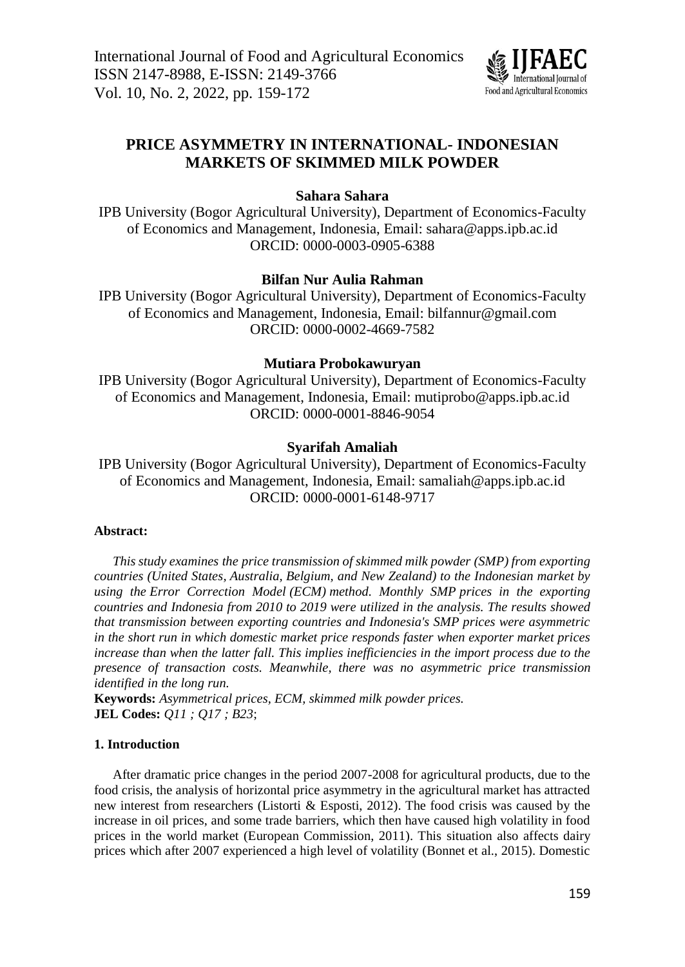

# **PRICE ASYMMETRY IN INTERNATIONAL- INDONESIAN MARKETS OF SKIMMED MILK POWDER**

# **Sahara Sahara**

IPB University (Bogor Agricultural University), Department of Economics-Faculty of Economics and Management, Indonesia, Email: [sahara@apps.ipb.ac.id](mailto:sahara@apps.ipb.ac.id) ORCID: 0000-0003-0905-6388

# **Bilfan Nur Aulia Rahman**

IPB University (Bogor Agricultural University), Department of Economics-Faculty of Economics and Management, Indonesia, Email: bilfannur@gmail.com ORCID: 0000-0002-4669-7582

# **Mutiara Probokawuryan**

IPB University (Bogor Agricultural University), Department of Economics-Faculty of Economics and Management, Indonesia, Email: mutiprob[o@apps.ipb.ac.id](mailto:sahara@apps.ipb.ac.id) ORCID: 0000-0001-8846-9054

# **Syarifah Amaliah**

IPB University (Bogor Agricultural University), Department of Economics-Faculty of Economics and Management, Indonesia, Email: samalia[h@apps.ipb.ac.id](mailto:sahara@apps.ipb.ac.id) ORCID: 0000-0001-6148-9717

## **Abstract:**

*This study examines the price transmission of skimmed milk powder (SMP) from exporting countries (United States, Australia, Belgium, and New Zealand) to the Indonesian market by using the Error Correction Model (ECM) method. Monthly SMP prices in the exporting countries and Indonesia from 2010 to 2019 were utilized in the analysis. The results showed that transmission between exporting countries and Indonesia's SMP prices were asymmetric in the short run in which domestic market price responds faster when exporter market prices increase than when the latter fall. This implies inefficiencies in the import process due to the presence of transaction costs. Meanwhile, there was no asymmetric price transmission identified in the long run.*

**Keywords:** *Asymmetrical prices, ECM, skimmed milk powder prices.* **JEL Codes:** *Q11 ; Q17 ; B23*;

## **1. Introduction**

After dramatic price changes in the period 2007-2008 for agricultural products, due to the food crisis, the analysis of horizontal price asymmetry in the agricultural market has attracted new interest from researchers (Listorti & Esposti, 2012). The food crisis was caused by the increase in oil prices, and some trade barriers, which then have caused high volatility in food prices in the world market (European Commission, 2011). This situation also affects dairy prices which after 2007 experienced a high level of volatility (Bonnet et al., 2015). Domestic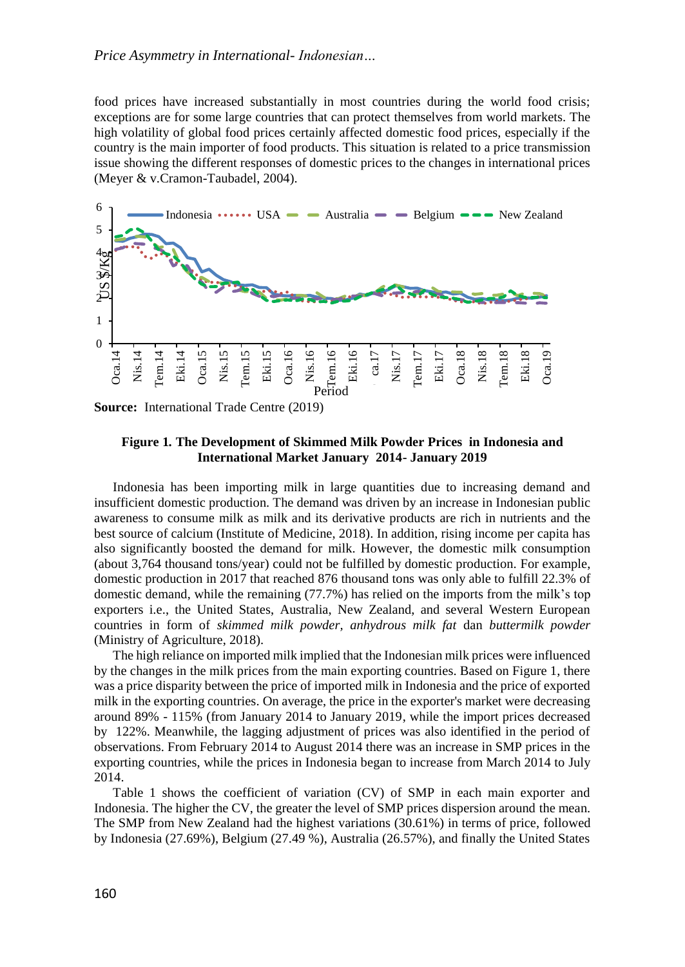food prices have increased substantially in most countries during the world food crisis; exceptions are for some large countries that can protect themselves from world markets. The high volatility of global food prices certainly affected domestic food prices, especially if the country is the main importer of food products. This situation is related to a price transmission issue showing the different responses of domestic prices to the changes in international prices (Meyer & v.Cramon-Taubadel, 2004).



**Source:** International Trade Centre (2019)

### **Figure 1***.* **The Development of Skimmed Milk Powder Prices in Indonesia and International Market January 2014- January 2019**

Indonesia has been importing milk in large quantities due to increasing demand and insufficient domestic production. The demand was driven by an increase in Indonesian public awareness to consume milk as milk and its derivative products are rich in nutrients and the best source of calcium (Institute of Medicine, 2018). In addition, rising income per capita has also significantly boosted the demand for milk. However, the domestic milk consumption (about 3,764 thousand tons/year) could not be fulfilled by domestic production. For example, domestic production in 2017 that reached 876 thousand tons was only able to fulfill 22.3% of domestic demand, while the remaining (77.7%) has relied on the imports from the milk's top exporters i.e., the United States, Australia, New Zealand, and several Western European countries in form of *skimmed milk powder, anhydrous milk fat* dan *buttermilk powder* (Ministry of Agriculture, 2018).

The high reliance on imported milk implied that the Indonesian milk prices were influenced by the changes in the milk prices from the main exporting countries. Based on Figure 1, there was a price disparity between the price of imported milk in Indonesia and the price of exported milk in the exporting countries. On average, the price in the exporter's market were decreasing around 89% - 115% (from January 2014 to January 2019, while the import prices decreased by 122%. Meanwhile, the lagging adjustment of prices was also identified in the period of observations. From February 2014 to August 2014 there was an increase in SMP prices in the exporting countries, while the prices in Indonesia began to increase from March 2014 to July 2014.

Table 1 shows the coefficient of variation (CV) of SMP in each main exporter and Indonesia. The higher the CV, the greater the level of SMP prices dispersion around the mean. The SMP from New Zealand had the highest variations (30.61%) in terms of price, followed by Indonesia (27.69%), Belgium (27.49 %), Australia (26.57%), and finally the United States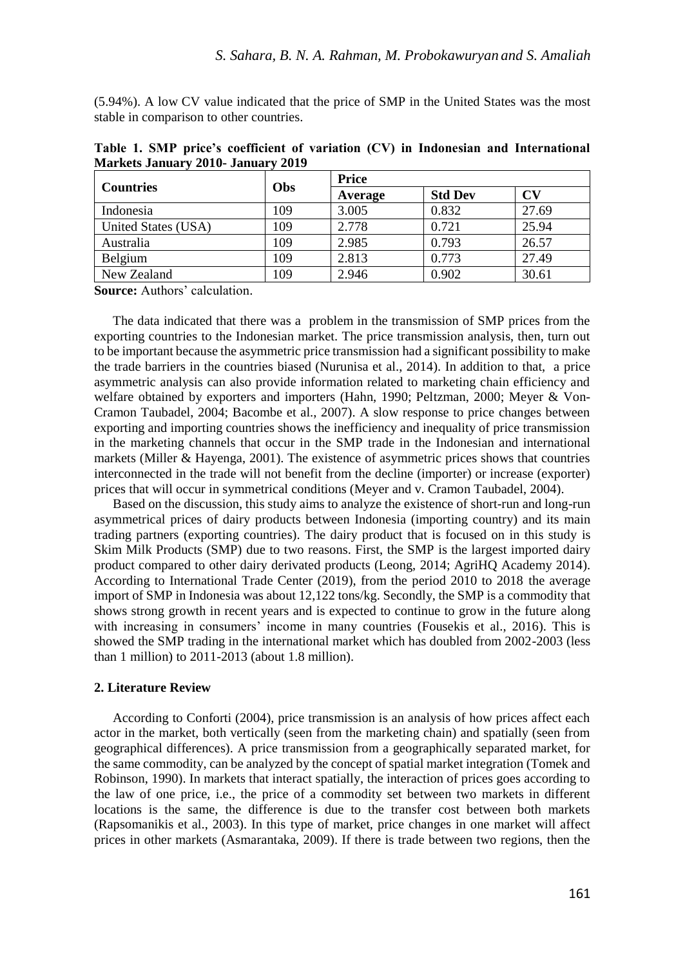(5.94%). A low CV value indicated that the price of SMP in the United States was the most stable in comparison to other countries.

|                     |            | <b>Price</b> |                |       |  |
|---------------------|------------|--------------|----------------|-------|--|
| <b>Countries</b>    | <b>Obs</b> | Average      | <b>Std Dev</b> | CV    |  |
| Indonesia           | 109        | 3.005        | 0.832          | 27.69 |  |
| United States (USA) | 109        | 2.778        | 0.721          | 25.94 |  |
| Australia           | 109        | 2.985        | 0.793          | 26.57 |  |
| Belgium             | 109        | 2.813        | 0.773          | 27.49 |  |
| New Zealand         | 109        | 2.946        | 0.902          | 30.61 |  |

**Table 1. SMP price's coefficient of variation (CV) in Indonesian and International Markets January 2010- January 2019**

**Source:** Authors' calculation.

The data indicated that there was a problem in the transmission of SMP prices from the exporting countries to the Indonesian market. The price transmission analysis, then, turn out to be important because the asymmetric price transmission had a significant possibility to make the trade barriers in the countries biased (Nurunisa et al., 2014). In addition to that, a price asymmetric analysis can also provide information related to marketing chain efficiency and welfare obtained by exporters and importers (Hahn, 1990; Peltzman, 2000; Meyer & Von-Cramon Taubadel, 2004; Bacombe et al., 2007). A slow response to price changes between exporting and importing countries shows the inefficiency and inequality of price transmission in the marketing channels that occur in the SMP trade in the Indonesian and international markets (Miller & Hayenga, 2001). The existence of asymmetric prices shows that countries interconnected in the trade will not benefit from the decline (importer) or increase (exporter) prices that will occur in symmetrical conditions (Meyer and v. Cramon Taubadel, 2004).

Based on the discussion, this study aims to analyze the existence of short-run and long-run asymmetrical prices of dairy products between Indonesia (importing country) and its main trading partners (exporting countries). The dairy product that is focused on in this study is Skim Milk Products (SMP) due to two reasons. First, the SMP is the largest imported dairy product compared to other dairy derivated products (Leong, 2014; AgriHQ Academy 2014). According to International Trade Center (2019), from the period 2010 to 2018 the average import of SMP in Indonesia was about 12,122 tons/kg. Secondly, the SMP is a commodity that shows strong growth in recent years and is expected to continue to grow in the future along with increasing in consumers' income in many countries (Fousekis et al., 2016). This is showed the SMP trading in the international market which has doubled from 2002-2003 (less than 1 million) to 2011-2013 (about 1.8 million).

### **2. Literature Review**

According to Conforti (2004), price transmission is an analysis of how prices affect each actor in the market, both vertically (seen from the marketing chain) and spatially (seen from geographical differences). A price transmission from a geographically separated market, for the same commodity, can be analyzed by the concept of spatial market integration (Tomek and Robinson, 1990). In markets that interact spatially, the interaction of prices goes according to the law of one price, i.e., the price of a commodity set between two markets in different locations is the same, the difference is due to the transfer cost between both markets (Rapsomanikis et al., 2003). In this type of market, price changes in one market will affect prices in other markets (Asmarantaka, 2009). If there is trade between two regions, then the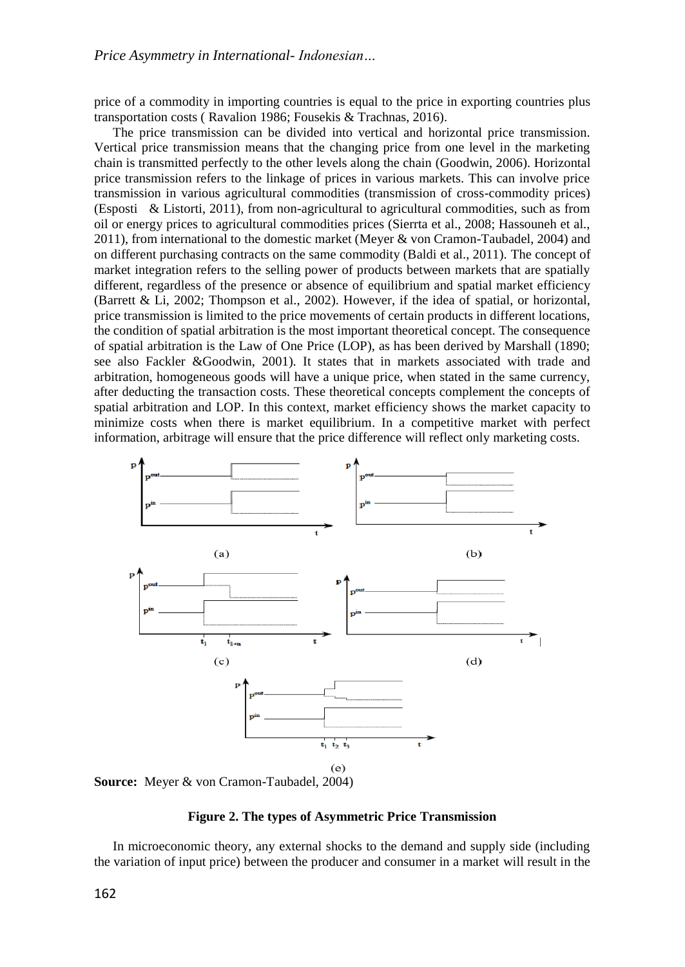price of a commodity in importing countries is equal to the price in exporting countries plus transportation costs ( Ravalion 1986; Fousekis & Trachnas, 2016).

The price transmission can be divided into vertical and horizontal price transmission. Vertical price transmission means that the changing price from one level in the marketing chain is transmitted perfectly to the other levels along the chain (Goodwin, 2006). Horizontal price transmission refers to the linkage of prices in various markets. This can involve price transmission in various agricultural commodities (transmission of cross-commodity prices) (Esposti & Listorti, 2011), from non-agricultural to agricultural commodities, such as from oil or energy prices to agricultural commodities prices (Sierrta et al., 2008; Hassouneh et al., 2011), from international to the domestic market (Meyer & von Cramon-Taubadel, 2004) and on different purchasing contracts on the same commodity (Baldi et al., 2011). The concept of market integration refers to the selling power of products between markets that are spatially different, regardless of the presence or absence of equilibrium and spatial market efficiency (Barrett & Li, 2002; Thompson et al., 2002). However, if the idea of spatial, or horizontal, price transmission is limited to the price movements of certain products in different locations, the condition of spatial arbitration is the most important theoretical concept. The consequence of spatial arbitration is the Law of One Price (LOP), as has been derived by Marshall (1890; see also Fackler &Goodwin, 2001). It states that in markets associated with trade and arbitration, homogeneous goods will have a unique price, when stated in the same currency, after deducting the transaction costs. These theoretical concepts complement the concepts of spatial arbitration and LOP. In this context, market efficiency shows the market capacity to minimize costs when there is market equilibrium. In a competitive market with perfect information, arbitrage will ensure that the price difference will reflect only marketing costs.



**Figure 2. The types of Asymmetric Price Transmission**

In microeconomic theory, any external shocks to the demand and supply side (including the variation of input price) between the producer and consumer in a market will result in the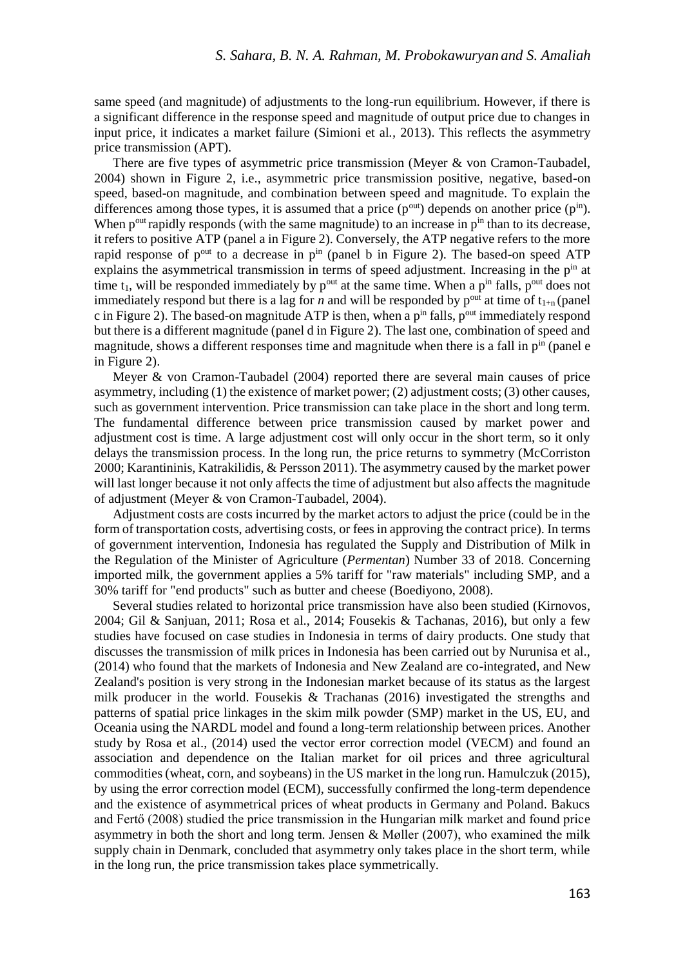same speed (and magnitude) of adjustments to the long-run equilibrium. However, if there is a significant difference in the response speed and magnitude of output price due to changes in input price, it indicates a market failure (Simioni et al*.,* 2013). This reflects the asymmetry price transmission (APT).

There are five types of asymmetric price transmission (Meyer & von Cramon-Taubadel, 2004) shown in Figure 2, i.e., asymmetric price transmission positive, negative, based-on speed, based-on magnitude, and combination between speed and magnitude. To explain the differences among those types, it is assumed that a price  $(p^{out})$  depends on another price  $(p^{in})$ . When  $p<sup>out</sup>$  rapidly responds (with the same magnitude) to an increase in  $p<sup>in</sup>$  than to its decrease, it refers to positive ATP (panel a in Figure 2). Conversely, the ATP negative refers to the more rapid response of  $p^{out}$  to a decrease in  $p^{in}$  (panel b in Figure 2). The based-on speed ATP explains the asymmetrical transmission in terms of speed adjustment. Increasing in the  $p<sup>in</sup>$  at time  $t_1$ , will be responded immediately by  $p^{out}$  at the same time. When a  $p^{in}$  falls,  $p^{out}$  does not immediately respond but there is a lag for *n* and will be responded by  $p^{out}$  at time of  $t_{1+n}$  (panel c in Figure 2). The based-on magnitude ATP is then, when a  $p^{in}$  falls,  $p^{out}$  immediately respond but there is a different magnitude (panel d in Figure 2). The last one, combination of speed and magnitude, shows a different responses time and magnitude when there is a fall in  $p<sup>in</sup>$  (panel e in Figure 2).

Meyer & von Cramon-Taubadel (2004) reported there are several main causes of price asymmetry, including (1) the existence of market power; (2) adjustment costs; (3) other causes, such as government intervention. Price transmission can take place in the short and long term. The fundamental difference between price transmission caused by market power and adjustment cost is time. A large adjustment cost will only occur in the short term, so it only delays the transmission process. In the long run, the price returns to symmetry (McCorriston 2000; Karantininis, Katrakilidis, & Persson 2011). The asymmetry caused by the market power will last longer because it not only affects the time of adjustment but also affects the magnitude of adjustment (Meyer & von Cramon-Taubadel, 2004).

Adjustment costs are costs incurred by the market actors to adjust the price (could be in the form of transportation costs, advertising costs, or fees in approving the contract price). In terms of government intervention, Indonesia has regulated the Supply and Distribution of Milk in the Regulation of the Minister of Agriculture (*Permentan*) Number 33 of 2018. Concerning imported milk, the government applies a 5% tariff for "raw materials" including SMP, and a 30% tariff for "end products" such as butter and cheese (Boediyono, 2008).

Several studies related to horizontal price transmission have also been studied (Kirnovos, 2004; Gil & Sanjuan, 2011; Rosa et al., 2014; Fousekis & Tachanas, 2016), but only a few studies have focused on case studies in Indonesia in terms of dairy products. One study that discusses the transmission of milk prices in Indonesia has been carried out by Nurunisa et al., (2014) who found that the markets of Indonesia and New Zealand are co-integrated, and New Zealand's position is very strong in the Indonesian market because of its status as the largest milk producer in the world. Fousekis & Trachanas (2016) investigated the strengths and patterns of spatial price linkages in the skim milk powder (SMP) market in the US, EU, and Oceania using the NARDL model and found a long-term relationship between prices. Another study by Rosa et al., (2014) used the vector error correction model (VECM) and found an association and dependence on the Italian market for oil prices and three agricultural commodities (wheat, corn, and soybeans) in the US market in the long run. Hamulczuk (2015), by using the error correction model (ECM), successfully confirmed the long-term dependence and the existence of asymmetrical prices of wheat products in Germany and Poland. Bakucs and Fertő (2008) studied the price transmission in the Hungarian milk market and found price asymmetry in both the short and long term. Jensen  $\&$  Møller (2007), who examined the milk supply chain in Denmark, concluded that asymmetry only takes place in the short term, while in the long run, the price transmission takes place symmetrically.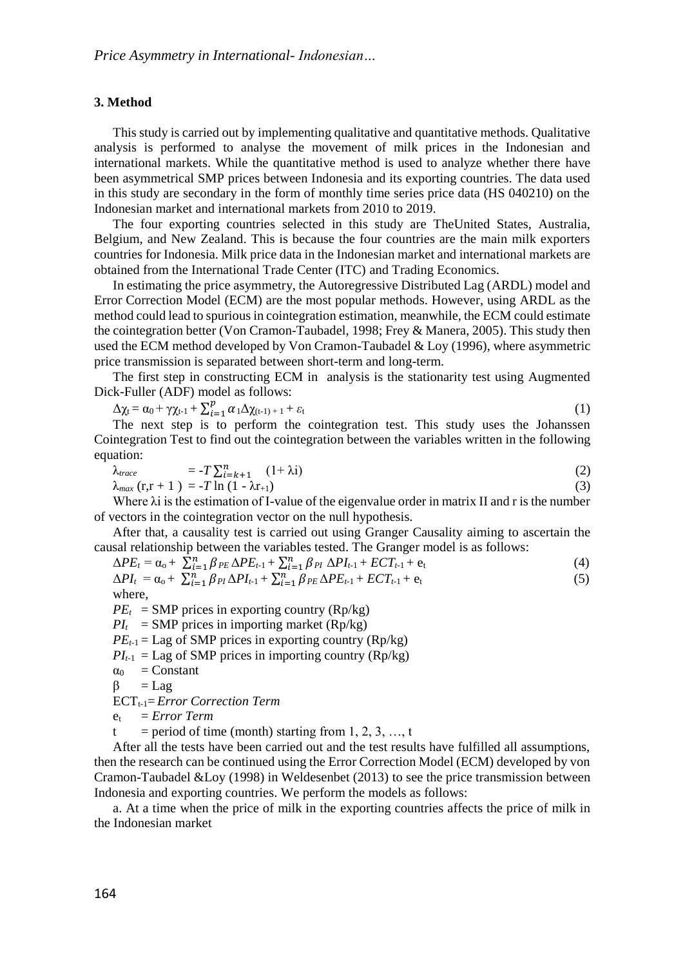### **3. Method**

This study is carried out by implementing qualitative and quantitative methods. Qualitative analysis is performed to analyse the movement of milk prices in the Indonesian and international markets. While the quantitative method is used to analyze whether there have been asymmetrical SMP prices between Indonesia and its exporting countries. The data used in this study are secondary in the form of monthly time series price data (HS 040210) on the Indonesian market and international markets from 2010 to 2019.

The four exporting countries selected in this study are TheUnited States, Australia, Belgium, and New Zealand. This is because the four countries are the main milk exporters countries for Indonesia. Milk price data in the Indonesian market and international markets are obtained from the International Trade Center (ITC) and Trading Economics.

In estimating the price asymmetry, the Autoregressive Distributed Lag (ARDL) model and Error Correction Model (ECM) are the most popular methods. However, using ARDL as the method could lead to spurious in cointegration estimation, meanwhile, the ECM could estimate the cointegration better (Von Cramon-Taubadel, 1998; Frey & Manera, 2005). This study then used the ECM method developed by Von Cramon-Taubadel  $&$  Loy (1996), where asymmetric price transmission is separated between short-term and long-term.

The first step in constructing ECM in analysis is the stationarity test using Augmented Dick-Fuller (ADF) model as follows:

$$
\Delta \chi_t = \alpha_0 + \gamma \chi_{t-1} + \sum_{i=1}^p \alpha_i \Delta \chi_{(t-1)+1} + \varepsilon_t \tag{1}
$$

 $\Delta t = \omega_0 + \gamma t^{1/2}$   $\Delta t = 1$   $\omega_1 \Delta t^{1/2}$   $\Delta t^{1/2}$   $\Delta t^{1/2}$   $\Delta t^{1/2}$   $\Delta t^{1/2}$   $\Delta t^{1/2}$   $\Delta t^{1/2}$   $\Delta t^{1/2}$   $\Delta t^{1/2}$   $\Delta t^{1/2}$   $\Delta t^{1/2}$   $\Delta t^{1/2}$   $\Delta t^{1/2}$   $\Delta t^{1/2}$   $\Delta t^{1/2}$   $\Delta t^{1/2}$   $\Delta t^{1/2}$  Cointegration Test to find out the cointegration between the variables written in the following equation:

$$
\lambda_{trace} = -T \sum_{i=k+1}^{n} (1+\lambda i)
$$
\n
$$
\lambda_{max}(\mathbf{r}, \mathbf{r} + 1) = -T \ln (1 - \lambda \mathbf{r}_{+1})
$$
\n(2)

Where  $\lambda$  is the estimation of I-value of the eigenvalue order in matrix II and r is the number of vectors in the cointegration vector on the null hypothesis.

After that, a causality test is carried out using Granger Causality aiming to ascertain the causal relationship between the variables tested. The Granger model is as follows:

$$
\Delta PE_t = \alpha_0 + \sum_{i=1}^n \beta_{PE} \Delta PE_{t-1} + \sum_{i=1}^n \beta_{PI} \Delta PI_{t-1} + ECT_{t-1} + e_t
$$
\n
$$
\tag{4}
$$

$$
\Delta PI_t = \alpha_0 + \sum_{i=1}^n \beta_{PI} \Delta PI_{t-1} + \sum_{i=1}^n \beta_{PE} \Delta PE_{t-1} + ECT_{t-1} + e_t
$$
\n(5)

\nwhere,

 $PE<sub>t</sub>$  = SMP prices in exporting country (Rp/kg)

 $PI_t$  = SMP prices in importing market (Rp/kg)

 $PE_{t-1} =$  Lag of SMP prices in exporting country (Rp/kg)

 $PI_{t-1}$  = Lag of SMP prices in importing country (Rp/kg)

$$
\alpha_0 = Constant
$$

$$
\beta = Lag
$$

ECT<sub>t-1</sub>= *Error Correction Term* 

$$
e_t = Error\ Term
$$

 $t = period of time (month) starting from 1, 2, 3, ..., t$ 

After all the tests have been carried out and the test results have fulfilled all assumptions, then the research can be continued using the Error Correction Model (ECM) developed by von Cramon-Taubadel &Loy (1998) in Weldesenbet (2013) to see the price transmission between Indonesia and exporting countries. We perform the models as follows:

a. At a time when the price of milk in the exporting countries affects the price of milk in the Indonesian market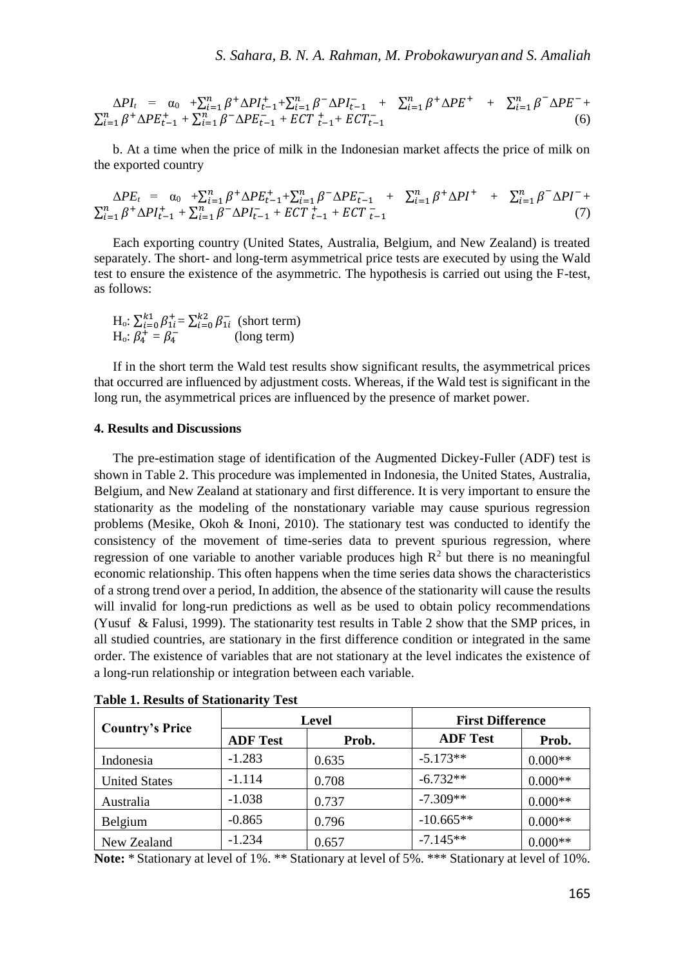$$
\Delta PI_{t} = \alpha_{0} + \sum_{i=1}^{n} \beta^{+} \Delta PI_{t-1}^{+} + \sum_{i=1}^{n} \beta^{-} \Delta PI_{t-1}^{-} + \sum_{i=1}^{n} \beta^{+} \Delta PE^{+} + \sum_{i=1}^{n} \beta^{-} \Delta PE^{-} + \sum_{i=1}^{n} \beta^{-} \Delta PE^{+} - \sum_{i=1}^{n} \beta^{-} \Delta PE^{+} - \sum_{i=1}^{n} \beta^{-} \Delta PE^{+} - \sum_{i=1}^{n} \beta^{-} \Delta PE^{+} - \sum_{i=1}^{n} \beta^{-} \Delta PE^{+} - \sum_{i=1}^{n} \beta^{-} \Delta PE^{+} - \sum_{i=1}^{n} \beta^{-} \Delta PE^{+} - \sum_{i=1}^{n} \beta^{-} \Delta PE^{+} - \sum_{i=1}^{n} \beta^{-} \Delta PE^{+} - \sum_{i=1}^{n} \beta^{-} \Delta PE^{+} - \sum_{i=1}^{n} \beta^{-} \Delta PE^{+} - \sum_{i=1}^{n} \beta^{-} \Delta PE^{+} - \sum_{i=1}^{n} \beta^{-} \Delta PE^{+} - \sum_{i=1}^{n} \beta^{-} \Delta PE^{+} - \sum_{i=1}^{n} \beta^{-} \Delta PE^{+} - \sum_{i=1}^{n} \beta^{-} \Delta PE^{+} - \sum_{i=1}^{n} \beta^{-} \Delta PE^{+} - \sum_{i=1}^{n} \beta^{-} \Delta PE^{+} - \sum_{i=1}^{n} \beta^{-} \Delta PE^{+} - \sum_{i=1}^{n} \beta^{-} \Delta PE^{+} - \sum_{i=1}^{n} \beta^{-} \Delta PE^{+} - \sum_{i=1}^{n} \beta^{-} \Delta PE^{+} - \sum_{i=1}^{n} \beta^{-} \Delta PE^{+} - \sum_{i=1}^{n} \beta^{-} \Delta PE^{+} - \sum_{i=1}^{n} \beta^{-} \Delta PE^{+} - \sum_{i=1}^{n} \beta^{-} \Delta PE^{+} - \sum_{i=1}^{n} \beta^{-} \Delta PE^{+} - \sum_{i=1}^{n} \beta^{-} \Delta PE^{+} - \sum_{i=1}^{n} \beta^{-} \Delta PE^{+} - \sum_{i=1}^{n} \beta^{-} \Delta PE^{+} - \sum_{i=1}^{n} \beta^{-} \Delta PE^{+} - \sum
$$

b. At a time when the price of milk in the Indonesian market affects the price of milk on the exported country

$$
\Delta PE_t = \alpha_0 + \sum_{i=1}^n \beta^+ \Delta PE_{t-1}^+ + \sum_{i=1}^n \beta^- \Delta PE_{t-1}^- + \sum_{i=1}^n \beta^+ \Delta PI^+ + \sum_{i=1}^n \beta^- \Delta PI^- + \sum_{i=1}^n \beta^+ \Delta PI_{t-1}^+ + \sum_{i=1}^n \beta^- \Delta PI_{t-1}^- + ECT_{t-1}^+ + ECT_{t-1}^- \tag{7}
$$

Each exporting country (United States, Australia, Belgium, and New Zealand) is treated separately. The short- and long-term asymmetrical price tests are executed by using the Wald test to ensure the existence of the asymmetric. The hypothesis is carried out using the F-test, as follows:

H<sub>o</sub>: 
$$
\sum_{i=0}^{k_1} \beta_{1i}^+ = \sum_{i=0}^{k_2} \beta_{1i}^-
$$
 (short term)  
H<sub>o</sub>:  $\beta_4^+ = \beta_4^-$  (long term)

If in the short term the Wald test results show significant results, the asymmetrical prices that occurred are influenced by adjustment costs. Whereas, if the Wald test is significant in the long run, the asymmetrical prices are influenced by the presence of market power.

### **4. Results and Discussions**

The pre-estimation stage of identification of the Augmented Dickey-Fuller (ADF) test is shown in Table 2. This procedure was implemented in Indonesia, the United States, Australia, Belgium, and New Zealand at stationary and first difference. It is very important to ensure the stationarity as the modeling of the nonstationary variable may cause spurious regression problems (Mesike, Okoh & Inoni, 2010). The stationary test was conducted to identify the consistency of the movement of time-series data to prevent spurious regression, where regression of one variable to another variable produces high  $\mathbb{R}^2$  but there is no meaningful economic relationship. This often happens when the time series data shows the characteristics of a strong trend over a period, In addition, the absence of the stationarity will cause the results will invalid for long-run predictions as well as be used to obtain policy recommendations (Yusuf & Falusi, 1999). The stationarity test results in Table 2 show that the SMP prices, in all studied countries, are stationary in the first difference condition or integrated in the same order. The existence of variables that are not stationary at the level indicates the existence of a long-run relationship or integration between each variable.

| <b>Country's Price</b> |                 | Level | <b>First Difference</b> |           |
|------------------------|-----------------|-------|-------------------------|-----------|
|                        | <b>ADF Test</b> | Prob. | <b>ADF</b> Test         | Prob.     |
| Indonesia              | $-1.283$        | 0.635 | $-5.173**$              | $0.000**$ |
| <b>United States</b>   | $-1.114$        | 0.708 | $-6.732**$              | $0.000**$ |
| Australia              | $-1.038$        | 0.737 | $-7.309**$              | $0.000**$ |
| <b>Belgium</b>         | $-0.865$        | 0.796 | $-10.665**$             | $0.000**$ |
| New Zealand            | $-1.234$        | 0.657 | $-7.145**$              | $0.000**$ |

**Table 1. Results of Stationarity Test**

**Note:** \* Stationary at level of 1%. \*\* Stationary at level of 5%. \*\*\* Stationary at level of 10%.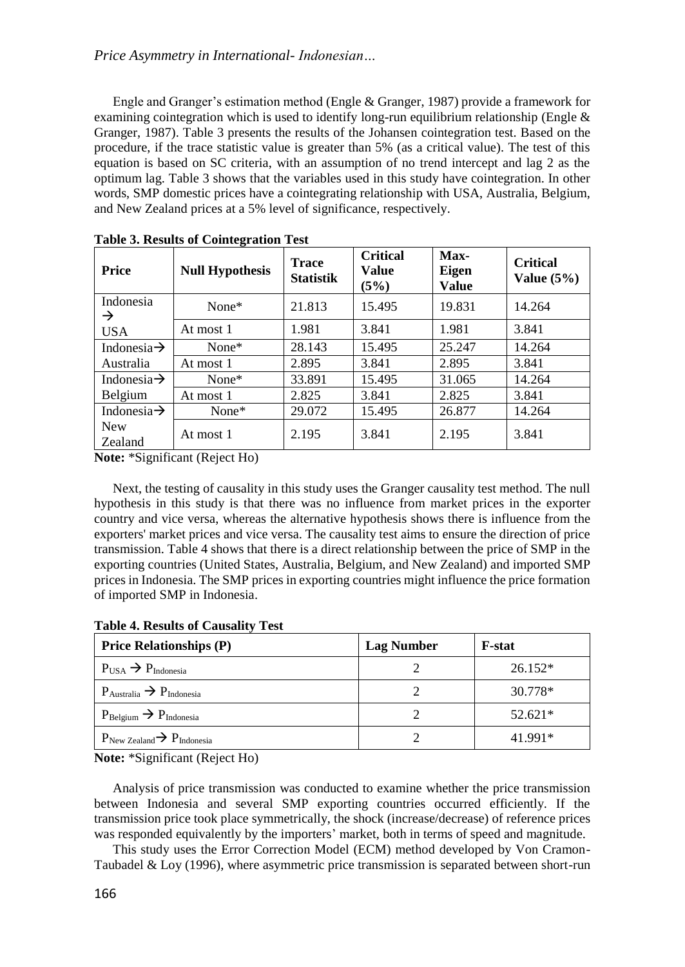## *Price Asymmetry in International- Indonesian…*

Engle and Granger's estimation method (Engle & Granger, 1987) provide a framework for examining cointegration which is used to identify long-run equilibrium relationship (Engle  $\&$ Granger, 1987). Table 3 presents the results of the Johansen cointegration test. Based on the procedure, if the trace statistic value is greater than 5% (as a critical value). The test of this equation is based on SC criteria, with an assumption of no trend intercept and lag 2 as the optimum lag. Table 3 shows that the variables used in this study have cointegration. In other words, SMP domestic prices have a cointegrating relationship with USA, Australia, Belgium, and New Zealand prices at a 5% level of significance, respectively.

| <b>Price</b>            | -<br><b>Null Hypothesis</b> | <b>Trace</b><br><b>Statistik</b> | <b>Critical</b><br>Value<br>(5%) | Max-<br><b>Eigen</b><br><b>Value</b> | <b>Critical</b><br>Value $(5\%)$ |
|-------------------------|-----------------------------|----------------------------------|----------------------------------|--------------------------------------|----------------------------------|
| Indonesia<br>→          | $None*$                     | 21.813                           | 15.495                           | 19.831                               | 14.264                           |
| USA.                    | At most 1                   | 1.981                            | 3.841                            | 1.981                                | 3.841                            |
| Indonesia $\rightarrow$ | None $*$                    | 28.143                           | 15.495                           | 25.247                               | 14.264                           |
| Australia               | At most 1                   | 2.895                            | 3.841                            | 2.895                                | 3.841                            |
| Indonesia $\rightarrow$ | None $*$                    | 33.891                           | 15.495                           | 31.065                               | 14.264                           |
| Belgium                 | At most 1                   | 2.825                            | 3.841                            | 2.825                                | 3.841                            |
| Indonesia $\rightarrow$ | None $*$                    | 29.072                           | 15.495                           | 26.877                               | 14.264                           |
| <b>New</b><br>Zealand   | At most 1                   | 2.195                            | 3.841                            | 2.195                                | 3.841                            |

**Table 3. Results of Cointegration Test**

**Note:** \*Significant (Reject Ho)

Next, the testing of causality in this study uses the Granger causality test method. The null hypothesis in this study is that there was no influence from market prices in the exporter country and vice versa, whereas the alternative hypothesis shows there is influence from the exporters' market prices and vice versa. The causality test aims to ensure the direction of price transmission. Table 4 shows that there is a direct relationship between the price of SMP in the exporting countries (United States, Australia, Belgium, and New Zealand) and imported SMP prices in Indonesia. The SMP prices in exporting countries might influence the price formation of imported SMP in Indonesia.

**Table 4. Results of Causality Test**

| <b>Price Relationships (P)</b>                          | <b>Lag Number</b> | <b>F</b> -stat |
|---------------------------------------------------------|-------------------|----------------|
| $P_{USA} \rightarrow P_{Indonesia}$                     |                   | $26.152*$      |
| $P_{\text{Australia}} \rightarrow P_{\text{Indonesia}}$ |                   | 30.778*        |
| $P_{\text{Belgium}} \rightarrow P_{\text{Indonesia}}$   |                   | $52.621*$      |
| $P_{New Zealand} \rightarrow P_{Indonesia}$             |                   | 41.991*        |

**Note:** \*Significant (Reject Ho)

Analysis of price transmission was conducted to examine whether the price transmission between Indonesia and several SMP exporting countries occurred efficiently. If the transmission price took place symmetrically, the shock (increase/decrease) of reference prices was responded equivalently by the importers' market, both in terms of speed and magnitude.

This study uses the Error Correction Model (ECM) method developed by Von Cramon-Taubadel & Loy (1996), where asymmetric price transmission is separated between short-run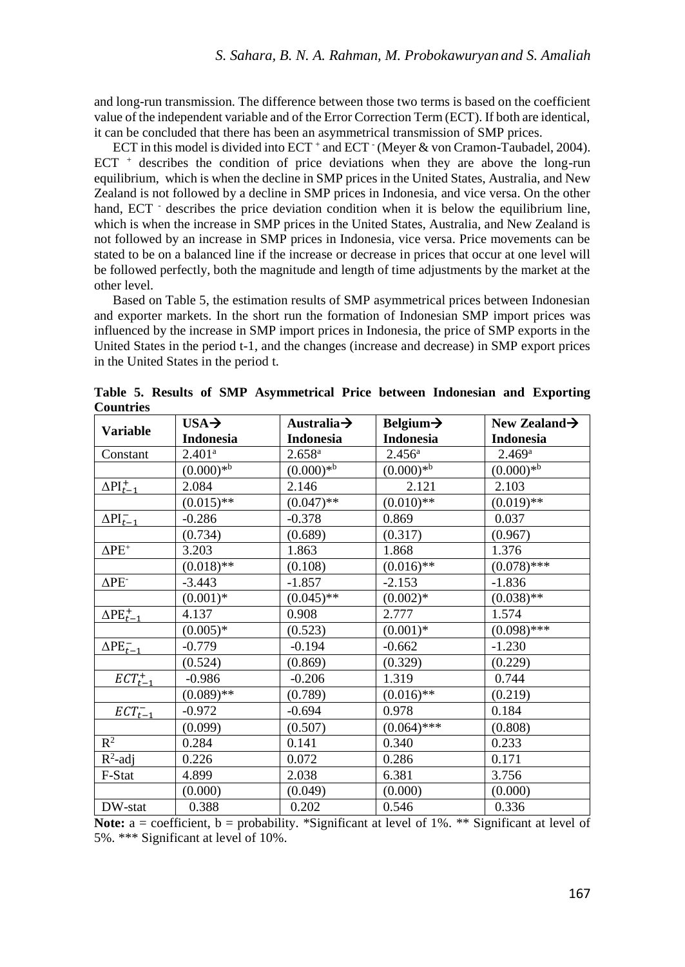and long-run transmission. The difference between those two terms is based on the coefficient value of the independent variable and of the Error Correction Term (ECT). If both are identical, it can be concluded that there has been an asymmetrical transmission of SMP prices.

ECT in this model is divided into ECT + and ECT · (Meyer & von Cramon-Taubadel, 2004). ECT  $+$  describes the condition of price deviations when they are above the long-run equilibrium, which is when the decline in SMP prices in the United States, Australia, and New Zealand is not followed by a decline in SMP prices in Indonesia, and vice versa. On the other hand, ECT  $\cdot$  describes the price deviation condition when it is below the equilibrium line, which is when the increase in SMP prices in the United States, Australia, and New Zealand is not followed by an increase in SMP prices in Indonesia, vice versa. Price movements can be stated to be on a balanced line if the increase or decrease in prices that occur at one level will be followed perfectly, both the magnitude and length of time adjustments by the market at the other level.

Based on Table 5, the estimation results of SMP asymmetrical prices between Indonesian and exporter markets. In the short run the formation of Indonesian SMP import prices was influenced by the increase in SMP import prices in Indonesia, the price of SMP exports in the United States in the period t-1, and the changes (increase and decrease) in SMP export prices in the United States in the period t.

|                          | $USA \rightarrow$  | Australia $\rightarrow$ | Belgium $\rightarrow$ | New Zealand $\rightarrow$ |
|--------------------------|--------------------|-------------------------|-----------------------|---------------------------|
| <b>Variable</b>          | <b>Indonesia</b>   | <b>Indonesia</b>        | <b>Indonesia</b>      | <b>Indonesia</b>          |
| Constant                 | 2.401 <sup>a</sup> | $2.658^{a}$             | $2.456^{\rm a}$       | $2.469$ <sup>a</sup>      |
|                          | $(0.000)*^b$       | $(0.000)*b$             | $(0.000)*b$           | $(0.000)*b$               |
| $\Delta PI_{t-1}^+$      | 2.084              | 2.146                   | 2.121                 | 2.103                     |
|                          | $(0.015)$ **       | $(0.047)$ **            | $(0.010)$ **          | $(0.019)$ **              |
| $\Delta PI_{t-1}^-$      | $-0.286$           | $-0.378$                | 0.869                 | 0.037                     |
|                          | (0.734)            | (0.689)                 | (0.317)               | (0.967)                   |
| $\Delta PE^+$            | 3.203              | 1.863                   | 1.868                 | 1.376                     |
|                          | $(0.018)$ **       | (0.108)                 | $(0.016)$ **          | $(0.078)$ ***             |
| $\Delta$ PE <sup>-</sup> | $-3.443$           | $-1.857$                | $-2.153$              | $-1.836$                  |
|                          | $(0.001)*$         | $(0.045)$ **            | $(0.002)*$            | $(0.038)$ **              |
| $\Delta$ PE $_{t-1}$     | 4.137              | 0.908                   | 2.777                 | 1.574                     |
|                          | $(0.005)*$         | (0.523)                 | $(0.001)*$            | $(0.098)$ ***             |
| $\Delta PE_{t-1}^-$      | $-0.779$           | $-0.194$                | $-0.662$              | $-1.230$                  |
|                          | (0.524)            | (0.869)                 | (0.329)               | (0.229)                   |
| $ECT_{t-1}^+$            | $-0.986$           | $-0.206$                | 1.319                 | 0.744                     |
|                          | $(0.089)$ **       | (0.789)                 | $(0.016)$ **          | (0.219)                   |
| $ECT^-_{t-1}$            | $-0.972$           | $-0.694$                | 0.978                 | 0.184                     |
|                          | (0.099)            | (0.507)                 | $(0.064)$ ***         | (0.808)                   |
| $R^2$                    | 0.284              | 0.141                   | 0.340                 | 0.233                     |
| $R^2$ -adj               | 0.226              | 0.072                   | 0.286                 | 0.171                     |
| F-Stat                   | 4.899              | 2.038                   | 6.381                 | 3.756                     |
|                          | (0.000)            | (0.049)                 | (0.000)               | (0.000)                   |
| DW-stat                  | 0.388              | 0.202                   | 0.546                 | 0.336                     |

**Table 5. Results of SMP Asymmetrical Price between Indonesian and Exporting Countries**

**Note:** a = coefficient, b = probability. \*Significant at level of 1%. \*\* Significant at level of 5%. \*\*\* Significant at level of 10%.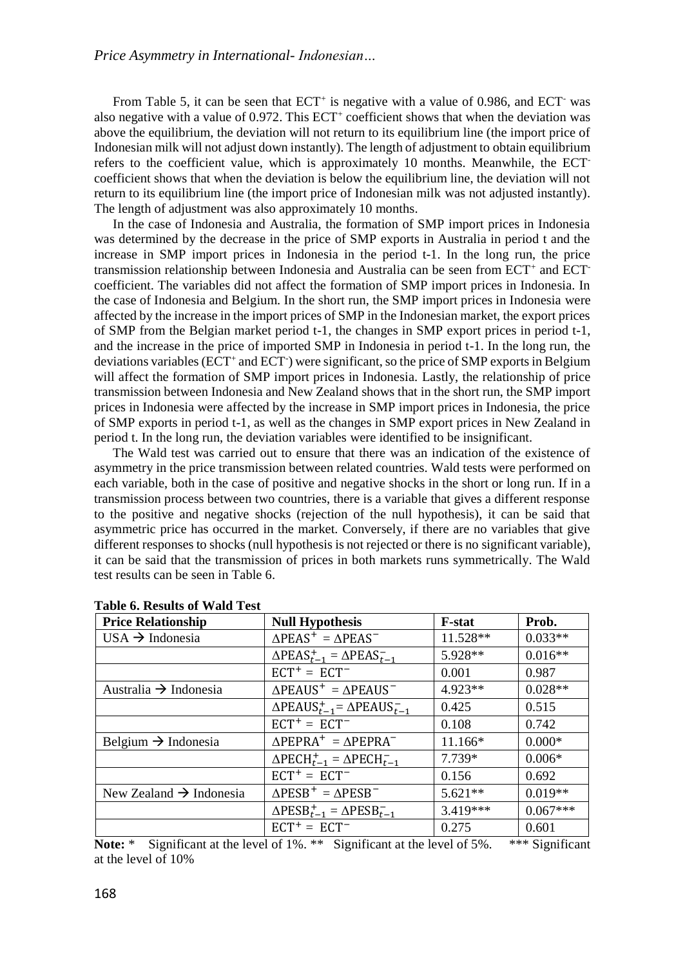From Table 5, it can be seen that  $ECT<sup>+</sup>$  is negative with a value of 0.986, and  $ECT<sup>-</sup>$  was also negative with a value of 0.972. This ECT<sup>+</sup> coefficient shows that when the deviation was above the equilibrium, the deviation will not return to its equilibrium line (the import price of Indonesian milk will not adjust down instantly). The length of adjustment to obtain equilibrium refers to the coefficient value, which is approximately 10 months. Meanwhile, the ECTcoefficient shows that when the deviation is below the equilibrium line, the deviation will not return to its equilibrium line (the import price of Indonesian milk was not adjusted instantly). The length of adjustment was also approximately 10 months.

In the case of Indonesia and Australia, the formation of SMP import prices in Indonesia was determined by the decrease in the price of SMP exports in Australia in period t and the increase in SMP import prices in Indonesia in the period t-1. In the long run, the price transmission relationship between Indonesia and Australia can be seen from ECT<sup>+</sup> and ECT<sup>-</sup> coefficient. The variables did not affect the formation of SMP import prices in Indonesia. In the case of Indonesia and Belgium. In the short run, the SMP import prices in Indonesia were affected by the increase in the import prices of SMP in the Indonesian market, the export prices of SMP from the Belgian market period t-1, the changes in SMP export prices in period t-1, and the increase in the price of imported SMP in Indonesia in period t-1. In the long run, the deviations variables (ECT<sup>+</sup> and ECT<sup>-</sup>) were significant, so the price of SMP exports in Belgium will affect the formation of SMP import prices in Indonesia. Lastly, the relationship of price transmission between Indonesia and New Zealand shows that in the short run, the SMP import prices in Indonesia were affected by the increase in SMP import prices in Indonesia, the price of SMP exports in period t-1, as well as the changes in SMP export prices in New Zealand in period t. In the long run, the deviation variables were identified to be insignificant.

The Wald test was carried out to ensure that there was an indication of the existence of asymmetry in the price transmission between related countries. Wald tests were performed on each variable, both in the case of positive and negative shocks in the short or long run. If in a transmission process between two countries, there is a variable that gives a different response to the positive and negative shocks (rejection of the null hypothesis), it can be said that asymmetric price has occurred in the market. Conversely, if there are no variables that give different responses to shocks (null hypothesis is not rejected or there is no significant variable), it can be said that the transmission of prices in both markets runs symmetrically. The Wald test results can be seen in Table 6.

| <b>Price Relationship</b>           | <b>Null Hypothesis</b>                                          | <b>F-stat</b> | Prob.      |
|-------------------------------------|-----------------------------------------------------------------|---------------|------------|
| USA $\rightarrow$ Indonesia         | $\triangle PEAS^{+} = \triangle PEAS^{-}$                       | 11.528**      | $0.033**$  |
|                                     | $\triangle PEAS_{t-1}^+ = \triangle PEAS_{t-1}^-$               | 5.928**       | $0.016**$  |
|                                     | $ECT+ = ECT-$                                                   | 0.001         | 0.987      |
| Australia $\rightarrow$ Indonesia   | $\triangle$ PEAUS <sup>+</sup> = $\triangle$ PEAUS <sup>-</sup> | 4.923**       | $0.028**$  |
|                                     | $\triangle$ PEAUS $_{t-1}^+$ = $\triangle$ PEAUS $_{t-1}^-$     | 0.425         | 0.515      |
|                                     | $ECT+ = ECT-$                                                   | 0.108         | 0.742      |
| Belgium $\rightarrow$ Indonesia     | $\triangle PEPRA^{+} = \triangle PEPRA^{-}$                     | 11.166*       | $0.000*$   |
|                                     | $\Delta$ PECH <sub>t-1</sub> = $\Delta$ PECH <sub>t-1</sub>     | 7.739*        | $0.006*$   |
|                                     | $ECT+ = ECT-$                                                   | 0.156         | 0.692      |
| New Zealand $\rightarrow$ Indonesia | $\triangle PESB^+ = \triangle PESB^-$                           | $5.621**$     | $0.019**$  |
|                                     | $\triangle PESB_{t-1}^+ = \triangle PESB_{t-1}^-$               | $3.419***$    | $0.067***$ |
|                                     | $ECT+ = ECT-$                                                   | 0.275         | 0.601      |

| <b>Table 6. Results of Wald Test</b> |  |  |  |  |  |
|--------------------------------------|--|--|--|--|--|
|--------------------------------------|--|--|--|--|--|

**Note:** \* Significant at the level of 1%. \*\* Significant at the level of 5%. \*\*\* Significant at the level of 10%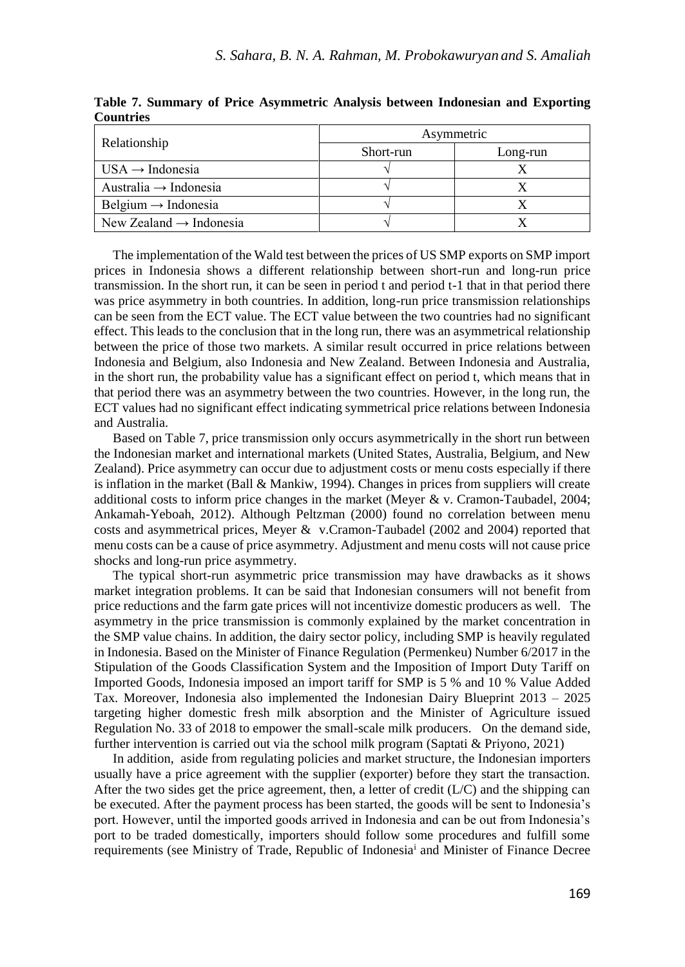|                                     |           | Asymmetric |  |  |
|-------------------------------------|-----------|------------|--|--|
| Relationship                        | Short-run | Long-run   |  |  |
| $USA \rightarrow Indonesia$         |           |            |  |  |
| Australia $\rightarrow$ Indonesia   |           |            |  |  |
| Belgium $\rightarrow$ Indonesia     |           |            |  |  |
| New Zealand $\rightarrow$ Indonesia |           |            |  |  |

**Table 7. Summary of Price Asymmetric Analysis between Indonesian and Exporting Countries**

The implementation of the Wald test between the prices of US SMP exports on SMP import prices in Indonesia shows a different relationship between short-run and long-run price transmission. In the short run, it can be seen in period t and period t-1 that in that period there was price asymmetry in both countries. In addition, long-run price transmission relationships can be seen from the ECT value. The ECT value between the two countries had no significant effect. This leads to the conclusion that in the long run, there was an asymmetrical relationship between the price of those two markets. A similar result occurred in price relations between Indonesia and Belgium, also Indonesia and New Zealand. Between Indonesia and Australia, in the short run, the probability value has a significant effect on period t, which means that in that period there was an asymmetry between the two countries. However, in the long run, the ECT values had no significant effect indicating symmetrical price relations between Indonesia and Australia.

Based on Table 7, price transmission only occurs asymmetrically in the short run between the Indonesian market and international markets (United States, Australia, Belgium, and New Zealand). Price asymmetry can occur due to adjustment costs or menu costs especially if there is inflation in the market (Ball & Mankiw, 1994). Changes in prices from suppliers will create additional costs to inform price changes in the market (Meyer & v. Cramon-Taubadel, 2004; Ankamah-Yeboah, 2012). Although Peltzman (2000) found no correlation between menu costs and asymmetrical prices, Meyer & v.Cramon-Taubadel (2002 and 2004) reported that menu costs can be a cause of price asymmetry. Adjustment and menu costs will not cause price shocks and long-run price asymmetry.

The typical short-run asymmetric price transmission may have drawbacks as it shows market integration problems. It can be said that Indonesian consumers will not benefit from price reductions and the farm gate prices will not incentivize domestic producers as well. The asymmetry in the price transmission is commonly explained by the market concentration in the SMP value chains. In addition, the dairy sector policy, including SMP is heavily regulated in Indonesia. Based on the Minister of Finance Regulation (Permenkeu) Number 6/2017 in the Stipulation of the Goods Classification System and the Imposition of Import Duty Tariff on Imported Goods, Indonesia imposed an import tariff for SMP is 5 % and 10 % Value Added Tax. Moreover, Indonesia also implemented the Indonesian Dairy Blueprint 2013 – 2025 targeting higher domestic fresh milk absorption and the Minister of Agriculture issued Regulation No. 33 of 2018 to empower the small-scale milk producers. On the demand side, further intervention is carried out via the school milk program (Saptati & Priyono, 2021)

In addition, aside from regulating policies and market structure, the Indonesian importers usually have a price agreement with the supplier (exporter) before they start the transaction. After the two sides get the price agreement, then, a letter of credit  $(L/C)$  and the shipping can be executed. After the payment process has been started, the goods will be sent to Indonesia's port. However, until the imported goods arrived in Indonesia and can be out from Indonesia's port to be traded domestically, importers should follow some procedures and fulfill some requirements (see Ministry of Trade, Republic of Indonesia<sup>i</sup> and Minister of Finance Decree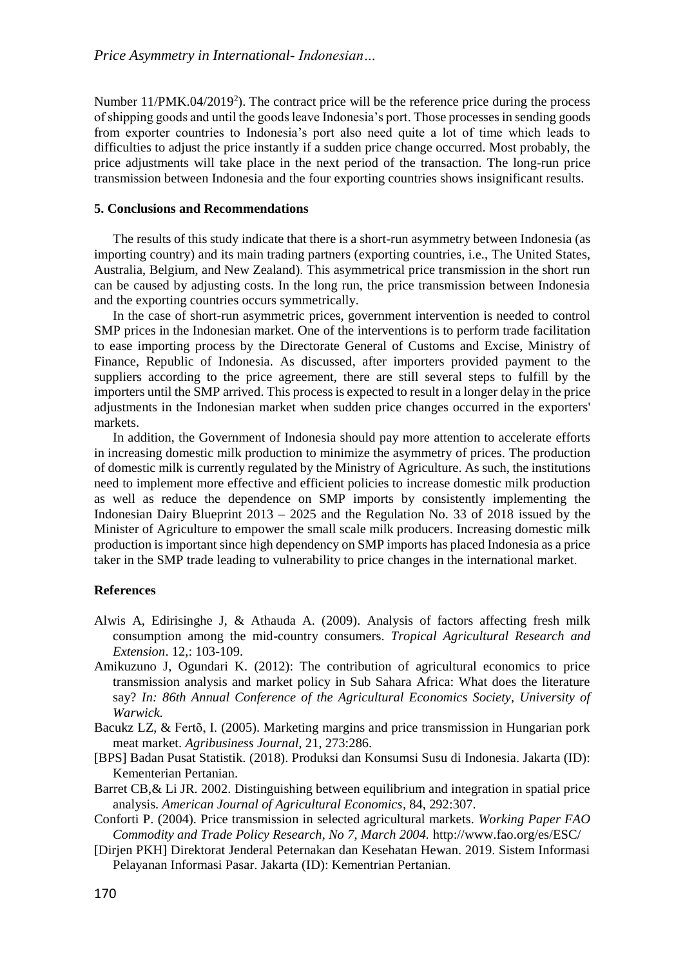Number 11/PMK.04/2019<sup>2</sup>). The contract price will be the reference price during the process of shipping goods and until the goods leave Indonesia's port. Those processes in sending goods from exporter countries to Indonesia's port also need quite a lot of time which leads to difficulties to adjust the price instantly if a sudden price change occurred. Most probably, the price adjustments will take place in the next period of the transaction. The long-run price transmission between Indonesia and the four exporting countries shows insignificant results.

### **5. Conclusions and Recommendations**

The results of this study indicate that there is a short-run asymmetry between Indonesia (as importing country) and its main trading partners (exporting countries, i.e., The United States, Australia, Belgium, and New Zealand). This asymmetrical price transmission in the short run can be caused by adjusting costs. In the long run, the price transmission between Indonesia and the exporting countries occurs symmetrically.

In the case of short-run asymmetric prices, government intervention is needed to control SMP prices in the Indonesian market. One of the interventions is to perform trade facilitation to ease importing process by the Directorate General of Customs and Excise, Ministry of Finance, Republic of Indonesia. As discussed, after importers provided payment to the suppliers according to the price agreement, there are still several steps to fulfill by the importers until the SMP arrived. This process is expected to result in a longer delay in the price adjustments in the Indonesian market when sudden price changes occurred in the exporters' markets.

In addition, the Government of Indonesia should pay more attention to accelerate efforts in increasing domestic milk production to minimize the asymmetry of prices. The production of domestic milk is currently regulated by the Ministry of Agriculture. As such, the institutions need to implement more effective and efficient policies to increase domestic milk production as well as reduce the dependence on SMP imports by consistently implementing the Indonesian Dairy Blueprint 2013 – 2025 and the Regulation No. 33 of 2018 issued by the Minister of Agriculture to empower the small scale milk producers. Increasing domestic milk production is important since high dependency on SMP imports has placed Indonesia as a price taker in the SMP trade leading to vulnerability to price changes in the international market.

#### **References**

- Alwis A, Edirisinghe J, & Athauda A. (2009). Analysis of factors affecting fresh milk consumption among the mid-country consumers. *Tropical Agricultural Research and Extension*. 12,: 103-109.
- Amikuzuno J, Ogundari K. (2012): The contribution of agricultural economics to price transmission analysis and market policy in Sub Sahara Africa: What does the literature say? *In: 86th Annual Conference of the Agricultural Economics Society, University of Warwick.*
- Bacukz LZ, & Fertõ, I. (2005). Marketing margins and price transmission in Hungarian pork meat market. *Agribusiness Journal*, 21, 273:286.
- [BPS] Badan Pusat Statistik. (2018). Produksi dan Konsumsi Susu di Indonesia. Jakarta (ID): Kementerian Pertanian.
- Barret CB,& Li JR. 2002. Distinguishing between equilibrium and integration in spatial price analysis. *American Journal of Agricultural Economics*, 84, 292:307.
- Conforti P. (2004). Price transmission in selected agricultural markets. *Working Paper FAO Commodity and Trade Policy Research, No 7, March 2004.* http://www.fao.org/es/ESC/
- [Dirjen PKH] Direktorat Jenderal Peternakan dan Kesehatan Hewan. 2019. Sistem Informasi Pelayanan Informasi Pasar. Jakarta (ID): Kementrian Pertanian.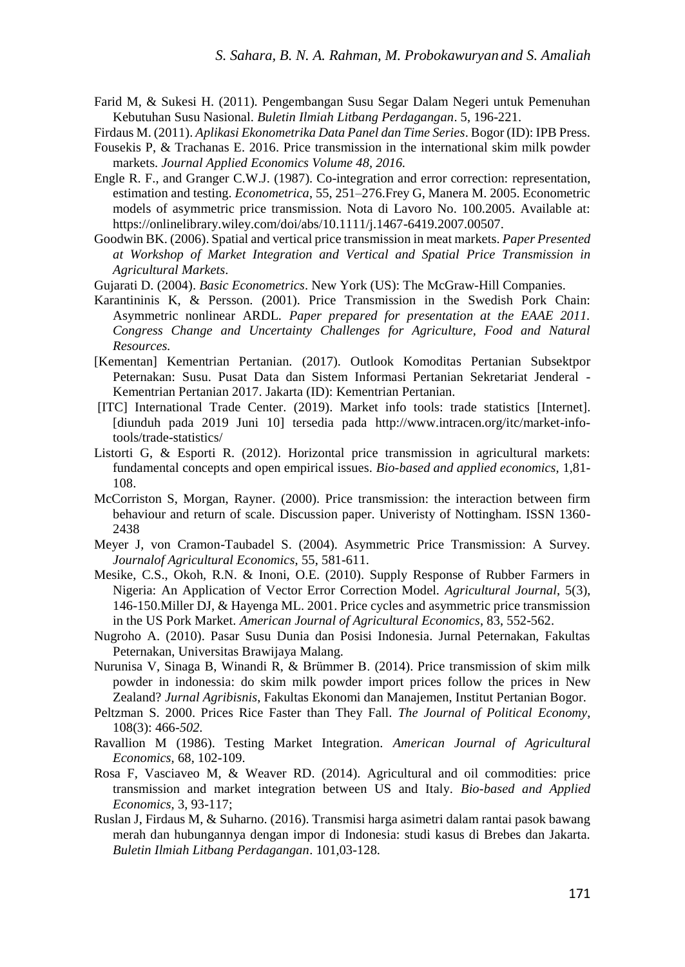Farid M, & Sukesi H. (2011). Pengembangan Susu Segar Dalam Negeri untuk Pemenuhan Kebutuhan Susu Nasional. *Buletin Ilmiah Litbang Perdagangan*. 5, 196-221.

Firdaus M. (2011). *Aplikasi Ekonometrika Data Panel dan Time Series*. Bogor (ID): IPB Press.

- Fousekis P, & Trachanas E. 2016. Price transmission in the international skim milk powder markets. *Journal Applied Economics Volume 48, 2016.*
- Engle R. F., and Granger C.W.J. (1987). Co-integration and error correction: representation, estimation and testing. *Econometrica*, 55, 251–276.Frey G, Manera M. 2005. Econometric models of asymmetric price transmission. Nota di Lavoro No. 100.2005. Available at: [https://onlinelibrary.wiley.com/doi/abs/10.1111/j.1467-6419.2007.00507.](https://onlinelibrary.wiley.com/doi/abs/10.1111/j.1467-6419.2007.00507)
- Goodwin BK. (2006). Spatial and vertical price transmission in meat markets. *Paper Presented at Workshop of Market Integration and Vertical and Spatial Price Transmission in Agricultural Markets*.
- Gujarati D. (2004). *Basic Econometrics*. New York (US): The McGraw-Hill Companies.
- Karantininis K, & Persson. (2001). Price Transmission in the Swedish Pork Chain: Asymmetric nonlinear ARDL*. Paper prepared for presentation at the EAAE 2011. Congress Change and Uncertainty Challenges for Agriculture, Food and Natural Resources.*
- [Kementan] Kementrian Pertanian. (2017). Outlook Komoditas Pertanian Subsektpor Peternakan: Susu. Pusat Data dan Sistem Informasi Pertanian Sekretariat Jenderal - Kementrian Pertanian 2017. Jakarta (ID): Kementrian Pertanian.
- [ITC] International Trade Center. (2019). Market info tools: trade statistics [Internet]. [diunduh pada 2019 Juni 10] tersedia pada [http://www.intracen.org/itc/market-info](http://www.intracen.org/itc/market-info-tools/trade-statistics/)[tools/trade-statistics/](http://www.intracen.org/itc/market-info-tools/trade-statistics/)
- Listorti G, & Esporti R. (2012). Horizontal price transmission in agricultural markets: fundamental concepts and open empirical issues. *Bio-based and applied economics,* 1,81- 108.
- McCorriston S, Morgan, Rayner. (2000). Price transmission: the interaction between firm behaviour and return of scale. Discussion paper. Univeristy of Nottingham. ISSN 1360- 2438
- Meyer J, von Cramon-Taubadel S. (2004). Asymmetric Price Transmission: A Survey. *Journalof Agricultural Economics*, 55, 581-611.
- Mesike, C.S., Okoh, R.N. & Inoni, O.E. (2010). Supply Response of Rubber Farmers in Nigeria: An Application of Vector Error Correction Model. *Agricultural Journal*, 5(3), 146-150.Miller DJ, & Hayenga ML. 2001. Price cycles and asymmetric price transmission in the US Pork Market. *American Journal of Agricultural Economics*, 83, 552-562.
- Nugroho A. (2010). Pasar Susu Dunia dan Posisi Indonesia. Jurnal Peternakan, Fakultas Peternakan, Universitas Brawijaya Malang.
- Nurunisa V, Sinaga B, Winandi R, & Brümmer B. (2014). Price transmission of skim milk powder in indonessia: do skim milk powder import prices follow the prices in New Zealand? *Jurnal Agribisnis*, Fakultas Ekonomi dan Manajemen, Institut Pertanian Bogor.
- Peltzman S. 2000. Prices Rice Faster than They Fall. *The Journal of Political Economy*, 108(3): 466*-502.*
- Ravallion M (1986). Testing Market Integration. *American Journal of Agricultural Economics,* 68, 102-109.
- Rosa F, Vasciaveo M, & Weaver RD. (2014). Agricultural and oil commodities: price transmission and market integration between US and Italy. *Bio-based and Applied Economics,* 3, 93-117;
- Ruslan J, Firdaus M, & Suharno. (2016). Transmisi harga asimetri dalam rantai pasok bawang merah dan hubungannya dengan impor di Indonesia: studi kasus di Brebes dan Jakarta. *Buletin Ilmiah Litbang Perdagangan*. 101,03-128.